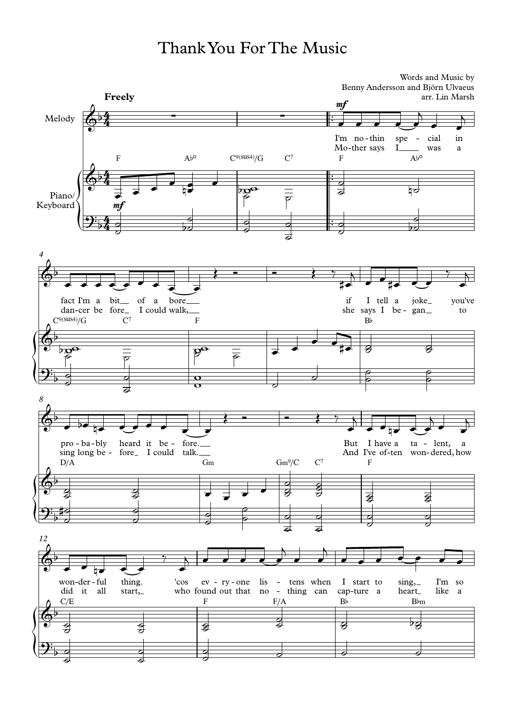## Thank You For The Music

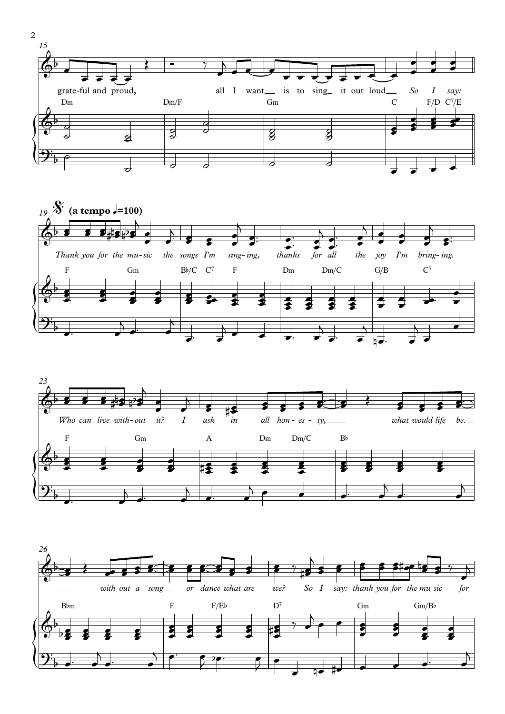